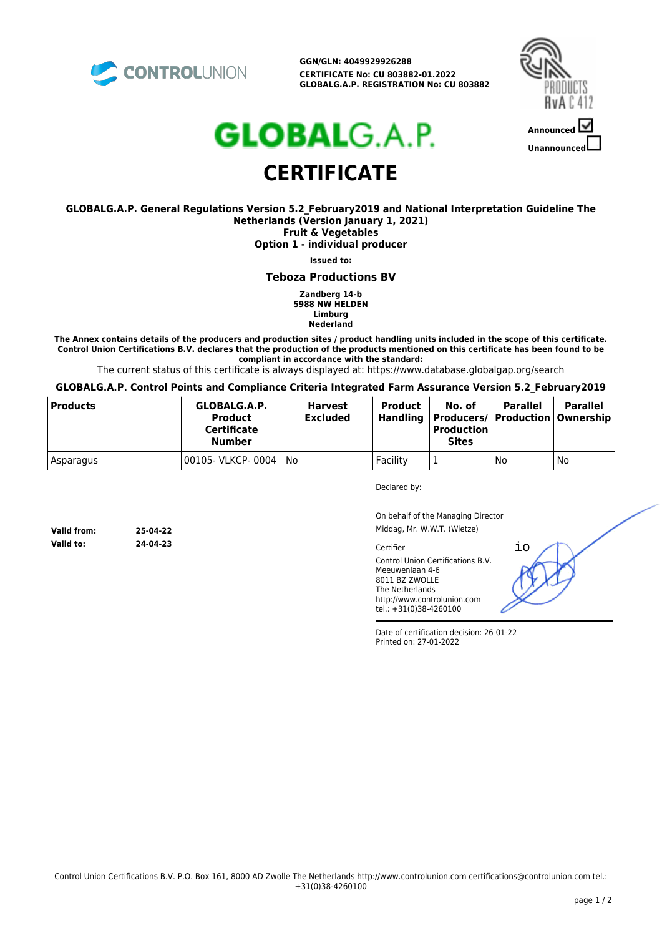

**GGN/GLN: 4049929926288 CERTIFICATE No: CU 803882-01.2022 GLOBALG.A.P. REGISTRATION No: CU 803882**



# **GLOBAL**G.A.P. **CERTIFICATE**

#### **GLOBALG.A.P. General Regulations Version 5.2\_February2019 and National Interpretation Guideline The Netherlands (Version January 1, 2021) Fruit & Vegetables**

**Option 1 - individual producer**

**Issued to:**

#### **Teboza Productions BV**

**Zandberg 14-b 5988 NW HELDEN Limburg Nederland**

**The Annex contains details of the producers and production sites / product handling units included in the scope of this certificate. Control Union Certifications B.V. declares that the production of the products mentioned on this certificate has been found to be compliant in accordance with the standard:**

The current status of this certificate is always displayed at: https://www.database.globalgap.org/search

**GLOBALG.A.P. Control Points and Compliance Criteria Integrated Farm Assurance Version 5.2\_February2019**

| <b>Products</b> | GLOBALG.A.P.<br><b>Product</b><br>Certificate<br><b>Number</b> | <b>Harvest</b><br><b>Excluded</b> | <b>Product</b><br>Handling | No. of<br>  Producers/   Production   Ownership  <br><b>Production</b><br><b>Sites</b> | <b>Parallel</b> | <b>Parallel</b> |
|-----------------|----------------------------------------------------------------|-----------------------------------|----------------------------|----------------------------------------------------------------------------------------|-----------------|-----------------|
| Asparagus       | 00105- VLKCP- 0004                                             | l No                              | Facility                   |                                                                                        | No              | No              |

Declared by:

On behalf of the Managing Director Middag, Mr. W.W.T. (Wietze)

io

**Cartifier** Control Union Certifications B.V. Meeuwenlaan 4-6 8011 BZ ZWOLLE The Netherlands http://www.controlunion.com tel.: +31(0)38-4260100

Date of certification decision: 26-01-22 Printed on: 27-01-2022

**Valid from: 25-04-22 Valid to: 24-04-23**